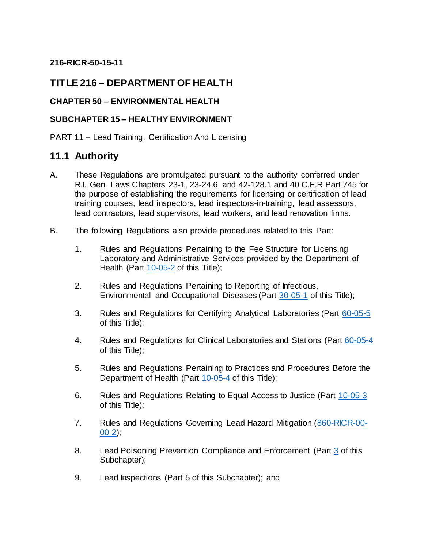## **216-RICR-50-15-11**

## **TITLE 216 – DEPARTMENT OF HEALTH**

### **CHAPTER 50 – ENVIRONMENTAL HEALTH**

#### **SUBCHAPTER 15 – HEALTHY ENVIRONMENT**

PART 11 – Lead Training, Certification And Licensing

## **11.1 Authority**

- A. These Regulations are promulgated pursuant to the authority conferred under R.I. Gen. Laws Chapters 23-1, 23-24.6, and 42-128.1 and 40 C.F.R Part 745 for the purpose of establishing the requirements for licensing or certification of lead training courses, lead inspectors, lead inspectors-in-training, lead assessors, lead contractors, lead supervisors, lead workers, and lead renovation firms.
- B. The following Regulations also provide procedures related to this Part:
	- 1. Rules and Regulations Pertaining to the Fee Structure for Licensing Laboratory and Administrative Services provided by the Department of Health (Part [10-05-2](https://rules.sos.ri.gov/regulations/part/216-10-05-2) of this Title);
	- 2. Rules and Regulations Pertaining to Reporting of Infectious, Environmental and Occupational Diseases (Part [30-05-1](https://rules.sos.ri.gov/regulations/part/216-30-05-1) of this Title);
	- 3. Rules and Regulations for Certifying Analytical Laboratories (Part [60-05-5](https://rules.sos.ri.gov/regulations/part/216-60-05-5) of this Title);
	- 4. Rules and Regulations for Clinical Laboratories and Stations (Part [60-05-4](https://rules.sos.ri.gov/regulations/part/216-60-05-4) of this Title);
	- 5. Rules and Regulations Pertaining to Practices and Procedures Before the Department of Health (Part [10-05-4](https://rules.sos.ri.gov/regulations/part/216-10-05-4) of this Title);
	- 6. Rules and Regulations Relating to Equal Access to Justice (Part [10-05-3](https://rules.sos.ri.gov/regulations/part/216-10-05-3) of this Title);
	- 7. Rules and Regulations Governing Lead Hazard Mitigation [\(860-RICR-00-](https://rules.sos.ri.gov/regulations/part/860-00-00-2)  $00-2$ );
	- 8. Lead Poisoning Prevention Compliance and Enforcement (Part [3](https://rules.sos.ri.gov/regulations/part/216-50-15-3) of this Subchapter);
	- 9. Lead Inspections (Part 5 of this Subchapter); and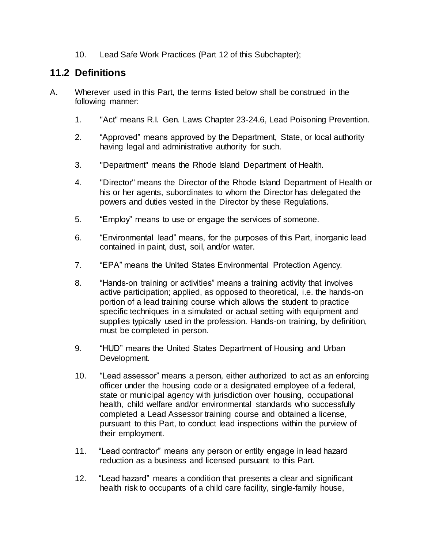10. Lead Safe Work Practices (Part 12 of this Subchapter);

## **11.2 Definitions**

- A. Wherever used in this Part, the terms listed below shall be construed in the following manner:
	- 1. "Act" means R.I. Gen. Laws Chapter 23-24.6, Lead Poisoning Prevention.
	- 2. "Approved" means approved by the Department, State, or local authority having legal and administrative authority for such.
	- 3. "Department" means the Rhode Island Department of Health.
	- 4. "Director" means the Director of the Rhode Island Department of Health or his or her agents, subordinates to whom the Director has delegated the powers and duties vested in the Director by these Regulations.
	- 5. "Employ" means to use or engage the services of someone.
	- 6. "Environmental lead" means, for the purposes of this Part, inorganic lead contained in paint, dust, soil, and/or water.
	- 7. "EPA" means the United States Environmental Protection Agency.
	- 8. "Hands-on training or activities" means a training activity that involves active participation; applied, as opposed to theoretical, i.e. the hands-on portion of a lead training course which allows the student to practice specific techniques in a simulated or actual setting with equipment and supplies typically used in the profession. Hands-on training, by definition, must be completed in person.
	- 9. "HUD" means the United States Department of Housing and Urban Development.
	- 10. "Lead assessor" means a person, either authorized to act as an enforcing officer under the housing code or a designated employee of a federal, state or municipal agency with jurisdiction over housing, occupational health, child welfare and/or environmental standards who successfully completed a Lead Assessor training course and obtained a license, pursuant to this Part, to conduct lead inspections within the purview of their employment.
	- 11. "Lead contractor" means any person or entity engage in lead hazard reduction as a business and licensed pursuant to this Part.
	- 12. "Lead hazard" means a condition that presents a clear and significant health risk to occupants of a child care facility, single-family house,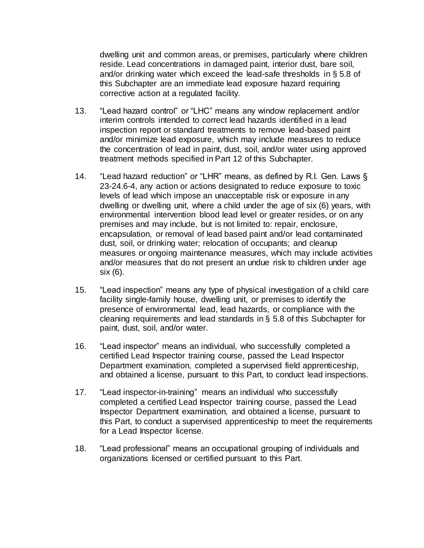dwelling unit and common areas, or premises, particularly where children reside. Lead concentrations in damaged paint, interior dust, bare soil, and/or drinking water which exceed the lead-safe thresholds in § 5.8 of this Subchapter are an immediate lead exposure hazard requiring corrective action at a regulated facility.

- 13. "Lead hazard control" or "LHC" means any window replacement and/or interim controls intended to correct lead hazards identified in a lead inspection report or standard treatments to remove lead-based paint and/or minimize lead exposure, which may include measures to reduce the concentration of lead in paint, dust, soil, and/or water using approved treatment methods specified in Part 12 of this Subchapter.
- 14. "Lead hazard reduction" or "LHR" means, as defined by R.I. Gen. Laws § 23-24.6-4, any action or actions designated to reduce exposure to toxic levels of lead which impose an unacceptable risk or exposure in any dwelling or dwelling unit, where a child under the age of six (6) years, with environmental intervention blood lead level or greater resides, or on any premises and may include, but is not limited to: repair, enclosure, encapsulation, or removal of lead based paint and/or lead contaminated dust, soil, or drinking water; relocation of occupants; and cleanup measures or ongoing maintenance measures, which may include activities and/or measures that do not present an undue risk to children under age six (6).
- 15. "Lead inspection" means any type of physical investigation of a child care facility single-family house, dwelling unit, or premises to identify the presence of environmental lead, lead hazards, or compliance with the cleaning requirements and lead standards in § 5.8 of this Subchapter for paint, dust, soil, and/or water.
- 16. "Lead inspector" means an individual, who successfully completed a certified Lead Inspector training course, passed the Lead Inspector Department examination, completed a supervised field apprenticeship, and obtained a license, pursuant to this Part, to conduct lead inspections.
- 17. "Lead inspector-in-training" means an individual who successfully completed a certified Lead Inspector training course, passed the Lead Inspector Department examination, and obtained a license, pursuant to this Part, to conduct a supervised apprenticeship to meet the requirements for a Lead Inspector license.
- 18. "Lead professional" means an occupational grouping of individuals and organizations licensed or certified pursuant to this Part.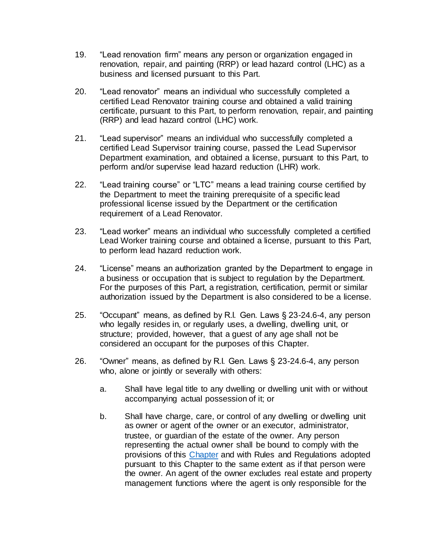- 19. "Lead renovation firm" means any person or organization engaged in renovation, repair, and painting (RRP) or lead hazard control (LHC) as a business and licensed pursuant to this Part.
- 20. "Lead renovator" means an individual who successfully completed a certified Lead Renovator training course and obtained a valid training certificate, pursuant to this Part, to perform renovation, repair, and painting (RRP) and lead hazard control (LHC) work.
- 21. "Lead supervisor" means an individual who successfully completed a certified Lead Supervisor training course, passed the Lead Supervisor Department examination, and obtained a license, pursuant to this Part, to perform and/or supervise lead hazard reduction (LHR) work.
- 22. "Lead training course" or "LTC" means a lead training course certified by the Department to meet the training prerequisite of a specific lead professional license issued by the Department or the certification requirement of a Lead Renovator.
- 23. "Lead worker" means an individual who successfully completed a certified Lead Worker training course and obtained a license, pursuant to this Part, to perform lead hazard reduction work.
- 24. "License" means an authorization granted by the Department to engage in a business or occupation that is subject to regulation by the Department. For the purposes of this Part, a registration, certification, permit or similar authorization issued by the Department is also considered to be a license.
- 25. "Occupant" means, as defined by R.I. Gen. Laws § 23-24.6-4, any person who legally resides in, or regularly uses, a dwelling, dwelling unit, or structure; provided, however, that a guest of any age shall not be considered an occupant for the purposes of this Chapter.
- 26. "Owner" means, as defined by R.I. Gen. Laws § 23-24.6-4, any person who, alone or jointly or severally with others:
	- a. Shall have legal title to any dwelling or dwelling unit with or without accompanying actual possession of it; or
	- b. Shall have charge, care, or control of any dwelling or dwelling unit as owner or agent of the owner or an executor, administrator, trustee, or guardian of the estate of the owner. Any person representing the actual owner shall be bound to comply with the provisions of this [Chapter](https://rules.sos.ri.gov/organizations/chapter/216-50) and with Rules and Regulations adopted pursuant to this Chapter to the same extent as if that person were the owner. An agent of the owner excludes real estate and property management functions where the agent is only responsible for the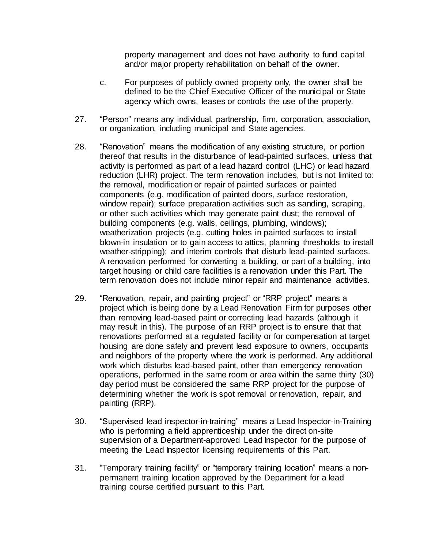property management and does not have authority to fund capital and/or major property rehabilitation on behalf of the owner.

- c. For purposes of publicly owned property only, the owner shall be defined to be the Chief Executive Officer of the municipal or State agency which owns, leases or controls the use of the property.
- 27. "Person" means any individual, partnership, firm, corporation, association, or organization, including municipal and State agencies.
- 28. "Renovation" means the modification of any existing structure, or portion thereof that results in the disturbance of lead-painted surfaces, unless that activity is performed as part of a lead hazard control (LHC) or lead hazard reduction (LHR) project. The term renovation includes, but is not limited to: the removal, modification or repair of painted surfaces or painted components (e.g. modification of painted doors, surface restoration, window repair); surface preparation activities such as sanding, scraping, or other such activities which may generate paint dust; the removal of building components (e.g. walls, ceilings, plumbing, windows); weatherization projects (e.g. cutting holes in painted surfaces to install blown-in insulation or to gain access to attics, planning thresholds to install weather-stripping); and interim controls that disturb lead-painted surfaces. A renovation performed for converting a building, or part of a building, into target housing or child care facilities is a renovation under this Part. The term renovation does not include minor repair and maintenance activities.
- 29. "Renovation, repair, and painting project" or "RRP project" means a project which is being done by a Lead Renovation Firm for purposes other than removing lead-based paint or correcting lead hazards (although it may result in this). The purpose of an RRP project is to ensure that that renovations performed at a regulated facility or for compensation at target housing are done safely and prevent lead exposure to owners, occupants and neighbors of the property where the work is performed. Any additional work which disturbs lead-based paint, other than emergency renovation operations, performed in the same room or area within the same thirty (30) day period must be considered the same RRP project for the purpose of determining whether the work is spot removal or renovation, repair, and painting (RRP).
- 30. "Supervised lead inspector-in-training" means a Lead Inspector-in-Training who is performing a field apprenticeship under the direct on-site supervision of a Department-approved Lead Inspector for the purpose of meeting the Lead Inspector licensing requirements of this Part.
- 31. "Temporary training facility" or "temporary training location" means a nonpermanent training location approved by the Department for a lead training course certified pursuant to this Part.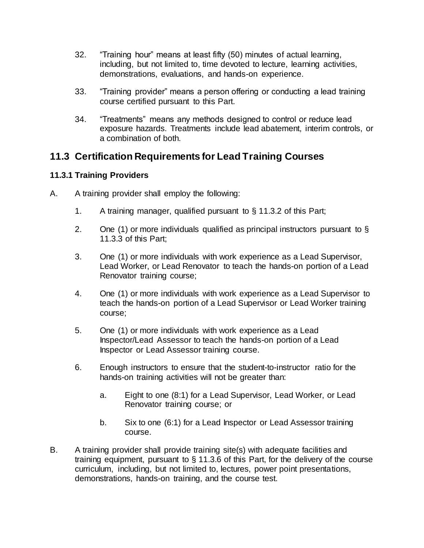- 32. "Training hour" means at least fifty (50) minutes of actual learning, including, but not limited to, time devoted to lecture, learning activities, demonstrations, evaluations, and hands-on experience.
- 33. "Training provider" means a person offering or conducting a lead training course certified pursuant to this Part.
- 34. "Treatments" means any methods designed to control or reduce lead exposure hazards. Treatments include lead abatement, interim controls, or a combination of both.

## **11.3 Certification Requirements for Lead Training Courses**

## **11.3.1 Training Providers**

- A. A training provider shall employ the following:
	- 1. A training manager, qualified pursuant to § 11.3.2 of this Part;
	- 2. One (1) or more individuals qualified as principal instructors pursuant to  $\S$ 11.3.3 of this Part;
	- 3. One (1) or more individuals with work experience as a Lead Supervisor, Lead Worker, or Lead Renovator to teach the hands-on portion of a Lead Renovator training course;
	- 4. One (1) or more individuals with work experience as a Lead Supervisor to teach the hands-on portion of a Lead Supervisor or Lead Worker training course;
	- 5. One (1) or more individuals with work experience as a Lead Inspector/Lead Assessor to teach the hands-on portion of a Lead Inspector or Lead Assessor training course.
	- 6. Enough instructors to ensure that the student-to-instructor ratio for the hands-on training activities will not be greater than:
		- a. Eight to one (8:1) for a Lead Supervisor, Lead Worker, or Lead Renovator training course; or
		- b. Six to one (6:1) for a Lead Inspector or Lead Assessor training course.
- B. A training provider shall provide training site(s) with adequate facilities and training equipment, pursuant to § 11.3.6 of this Part, for the delivery of the course curriculum, including, but not limited to, lectures, power point presentations, demonstrations, hands-on training, and the course test.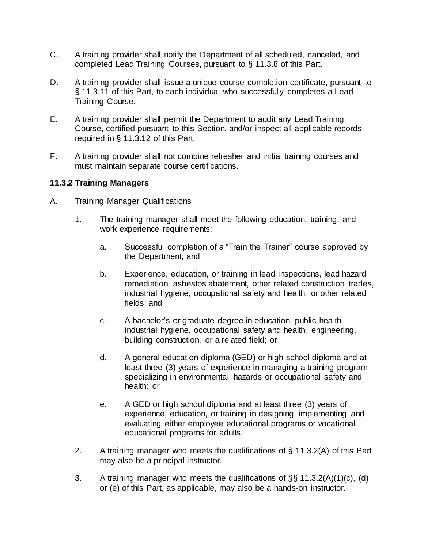- C. A training provider shall notify the Department of all scheduled, canceled, and completed Lead Training Courses, pursuant to § 11.3.8 of this Part.
- D. A training provider shall issue a unique course completion certificate, pursuant to § 11.3.11 of this Part, to each individual who successfully completes a Lead Training Course.
- E. A training provider shall permit the Department to audit any Lead Training Course, certified pursuant to this Section, and/or inspect all applicable records required in § 11.3.12 of this Part.
- F. A training provider shall not combine refresher and initial training courses and must maintain separate course certifications.

#### **11.3.2 Training Managers**

- A. Training Manager Qualifications
	- 1. The training manager shall meet the following education, training, and work experience requirements:
		- a. Successful completion of a "Train the Trainer" course approved by the Department; and
		- b. Experience, education, or training in lead inspections, lead hazard remediation, asbestos abatement, other related construction trades, industrial hygiene, occupational safety and health, or other related fields; and
		- c. A bachelor's or graduate degree in education, public health, industrial hygiene, occupational safety and health, engineering, building construction, or a related field; or
		- d. A general education diploma (GED) or high school diploma and at least three (3) years of experience in managing a training program specializing in environmental hazards or occupational safety and health; or
		- e. A GED or high school diploma and at least three (3) years of experience, education, or training in designing, implementing and evaluating either employee educational programs or vocational educational programs for adults.
	- 2. A training manager who meets the qualifications of § 11.3.2(A) of this Part may also be a principal instructor.
	- 3. A training manager who meets the qualifications of §§ 11.3.2(A)(1)(c), (d) or (e) of this Part, as applicable, may also be a hands-on instructor.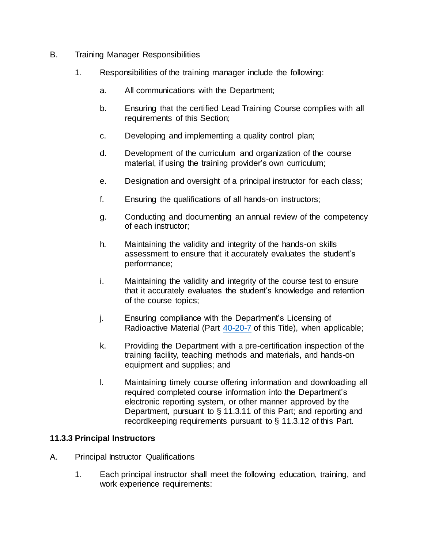- B. Training Manager Responsibilities
	- 1. Responsibilities of the training manager include the following:
		- a. All communications with the Department;
		- b. Ensuring that the certified Lead Training Course complies with all requirements of this Section;
		- c. Developing and implementing a quality control plan;
		- d. Development of the curriculum and organization of the course material, if using the training provider's own curriculum;
		- e. Designation and oversight of a principal instructor for each class;
		- f. Ensuring the qualifications of all hands-on instructors;
		- g. Conducting and documenting an annual review of the competency of each instructor;
		- h. Maintaining the validity and integrity of the hands-on skills assessment to ensure that it accurately evaluates the student's performance;
		- i. Maintaining the validity and integrity of the course test to ensure that it accurately evaluates the student's knowledge and retention of the course topics;
		- j. Ensuring compliance with the Department's Licensing of Radioactive Material (Part [40-20-7](https://rules.sos.ri.gov/regulations/part/216-40-20-7) of this Title), when applicable;
		- k. Providing the Department with a pre-certification inspection of the training facility, teaching methods and materials, and hands-on equipment and supplies; and
		- l. Maintaining timely course offering information and downloading all required completed course information into the Department's electronic reporting system, or other manner approved by the Department, pursuant to § 11.3.11 of this Part; and reporting and recordkeeping requirements pursuant to § 11.3.12 of this Part.

## **11.3.3 Principal Instructors**

- A. Principal Instructor Qualifications
	- 1. Each principal instructor shall meet the following education, training, and work experience requirements: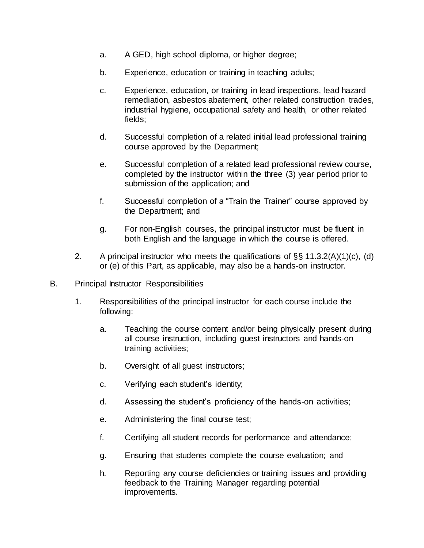- a. A GED, high school diploma, or higher degree;
- b. Experience, education or training in teaching adults;
- c. Experience, education, or training in lead inspections, lead hazard remediation, asbestos abatement, other related construction trades, industrial hygiene, occupational safety and health, or other related fields;
- d. Successful completion of a related initial lead professional training course approved by the Department;
- e. Successful completion of a related lead professional review course, completed by the instructor within the three (3) year period prior to submission of the application; and
- f. Successful completion of a "Train the Trainer" course approved by the Department; and
- g. For non-English courses, the principal instructor must be fluent in both English and the language in which the course is offered.
- 2. A principal instructor who meets the qualifications of  $\S$ § 11.3.2(A)(1)(c), (d) or (e) of this Part, as applicable, may also be a hands-on instructor.
- B. Principal Instructor Responsibilities
	- 1. Responsibilities of the principal instructor for each course include the following:
		- a. Teaching the course content and/or being physically present during all course instruction, including guest instructors and hands-on training activities;
		- b. Oversight of all guest instructors;
		- c. Verifying each student's identity;
		- d. Assessing the student's proficiency of the hands-on activities;
		- e. Administering the final course test;
		- f. Certifying all student records for performance and attendance;
		- g. Ensuring that students complete the course evaluation; and
		- h. Reporting any course deficiencies or training issues and providing feedback to the Training Manager regarding potential improvements.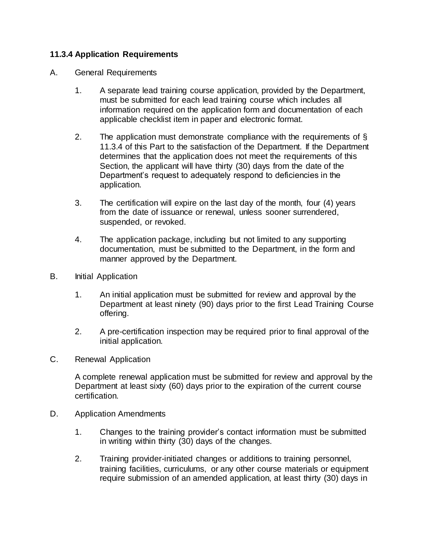#### **11.3.4 Application Requirements**

- A. General Requirements
	- 1. A separate lead training course application, provided by the Department, must be submitted for each lead training course which includes all information required on the application form and documentation of each applicable checklist item in paper and electronic format.
	- 2. The application must demonstrate compliance with the requirements of § 11.3.4 of this Part to the satisfaction of the Department. If the Department determines that the application does not meet the requirements of this Section, the applicant will have thirty (30) days from the date of the Department's request to adequately respond to deficiencies in the application.
	- 3. The certification will expire on the last day of the month, four (4) years from the date of issuance or renewal, unless sooner surrendered, suspended, or revoked.
	- 4. The application package, including but not limited to any supporting documentation, must be submitted to the Department, in the form and manner approved by the Department.
- B. Initial Application
	- 1. An initial application must be submitted for review and approval by the Department at least ninety (90) days prior to the first Lead Training Course offering.
	- 2. A pre-certification inspection may be required prior to final approval of the initial application.
- C. Renewal Application

A complete renewal application must be submitted for review and approval by the Department at least sixty (60) days prior to the expiration of the current course certification.

- D. Application Amendments
	- 1. Changes to the training provider's contact information must be submitted in writing within thirty (30) days of the changes.
	- 2. Training provider-initiated changes or additions to training personnel, training facilities, curriculums, or any other course materials or equipment require submission of an amended application, at least thirty (30) days in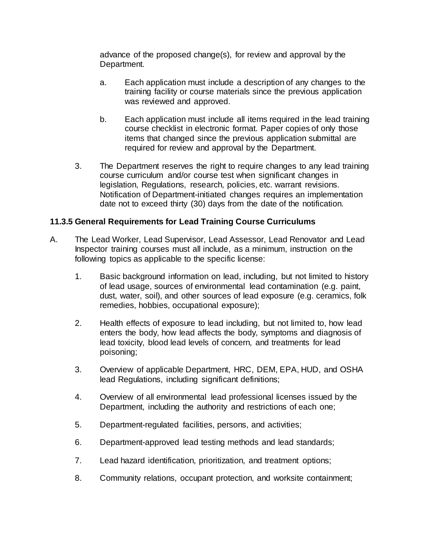advance of the proposed change(s), for review and approval by the Department.

- a. Each application must include a description of any changes to the training facility or course materials since the previous application was reviewed and approved.
- b. Each application must include all items required in the lead training course checklist in electronic format. Paper copies of only those items that changed since the previous application submittal are required for review and approval by the Department.
- 3. The Department reserves the right to require changes to any lead training course curriculum and/or course test when significant changes in legislation, Regulations, research, policies, etc. warrant revisions. Notification of Department-initiated changes requires an implementation date not to exceed thirty (30) days from the date of the notification.

#### **11.3.5 General Requirements for Lead Training Course Curriculums**

- A. The Lead Worker, Lead Supervisor, Lead Assessor, Lead Renovator and Lead Inspector training courses must all include, as a minimum, instruction on the following topics as applicable to the specific license:
	- 1. Basic background information on lead, including, but not limited to history of lead usage, sources of environmental lead contamination (e.g. paint, dust, water, soil), and other sources of lead exposure (e.g. ceramics, folk remedies, hobbies, occupational exposure);
	- 2. Health effects of exposure to lead including, but not limited to, how lead enters the body, how lead affects the body, symptoms and diagnosis of lead toxicity, blood lead levels of concern, and treatments for lead poisoning;
	- 3. Overview of applicable Department, HRC, DEM, EPA, HUD, and OSHA lead Regulations, including significant definitions;
	- 4. Overview of all environmental lead professional licenses issued by the Department, including the authority and restrictions of each one;
	- 5. Department-regulated facilities, persons, and activities;
	- 6. Department-approved lead testing methods and lead standards;
	- 7. Lead hazard identification, prioritization, and treatment options;
	- 8. Community relations, occupant protection, and worksite containment;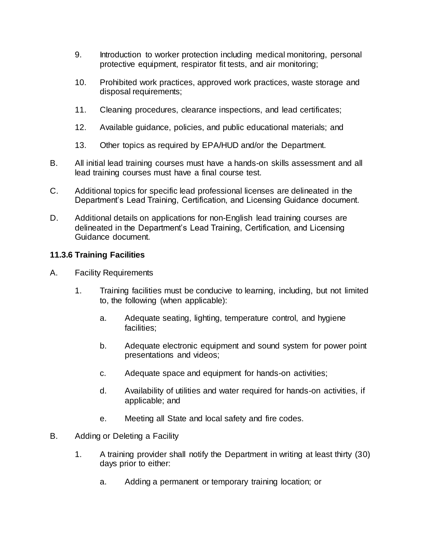- 9. Introduction to worker protection including medical monitoring, personal protective equipment, respirator fit tests, and air monitoring;
- 10. Prohibited work practices, approved work practices, waste storage and disposal requirements;
- 11. Cleaning procedures, clearance inspections, and lead certificates;
- 12. Available guidance, policies, and public educational materials; and
- 13. Other topics as required by EPA/HUD and/or the Department.
- B. All initial lead training courses must have a hands-on skills assessment and all lead training courses must have a final course test.
- C. Additional topics for specific lead professional licenses are delineated in the Department's Lead Training, Certification, and Licensing Guidance document.
- D. Additional details on applications for non-English lead training courses are delineated in the Department's Lead Training, Certification, and Licensing Guidance document.

#### **11.3.6 Training Facilities**

- A. Facility Requirements
	- 1. Training facilities must be conducive to learning, including, but not limited to, the following (when applicable):
		- a. Adequate seating, lighting, temperature control, and hygiene facilities;
		- b. Adequate electronic equipment and sound system for power point presentations and videos;
		- c. Adequate space and equipment for hands-on activities;
		- d. Availability of utilities and water required for hands-on activities, if applicable; and
		- e. Meeting all State and local safety and fire codes.
- B. Adding or Deleting a Facility
	- 1. A training provider shall notify the Department in writing at least thirty (30) days prior to either:
		- a. Adding a permanent or temporary training location; or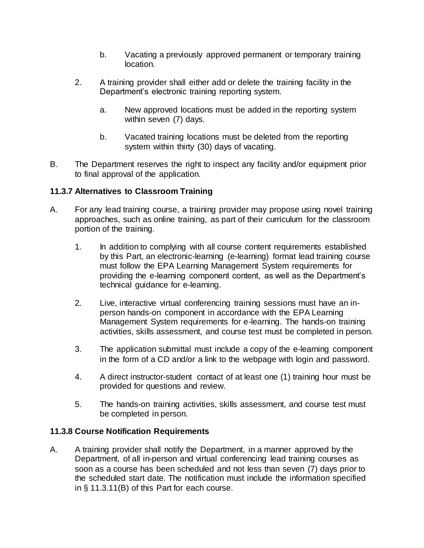- b. Vacating a previously approved permanent or temporary training location.
- 2. A training provider shall either add or delete the training facility in the Department's electronic training reporting system.
	- a. New approved locations must be added in the reporting system within seven (7) days.
	- b. Vacated training locations must be deleted from the reporting system within thirty (30) days of vacating.
- B. The Department reserves the right to inspect any facility and/or equipment prior to final approval of the application.

## **11.3.7 Alternatives to Classroom Training**

- A. For any lead training course, a training provider may propose using novel training approaches, such as online training, as part of their curriculum for the classroom portion of the training.
	- 1. In addition to complying with all course content requirements established by this Part, an electronic-learning (e-learning) format lead training course must follow the EPA Learning Management System requirements for providing the e-learning component content, as well as the Department's technical guidance for e-learning.
	- 2. Live, interactive virtual conferencing training sessions must have an inperson hands-on component in accordance with the EPA Learning Management System requirements for e-learning. The hands-on training activities, skills assessment, and course test must be completed in person.
	- 3. The application submittal must include a copy of the e-learning component in the form of a CD and/or a link to the webpage with login and password.
	- 4. A direct instructor-student contact of at least one (1) training hour must be provided for questions and review.
	- 5. The hands-on training activities, skills assessment, and course test must be completed in person.

## **11.3.8 Course Notification Requirements**

A. A training provider shall notify the Department, in a manner approved by the Department, of all in-person and virtual conferencing lead training courses as soon as a course has been scheduled and not less than seven (7) days prior to the scheduled start date. The notification must include the information specified in § 11.3.11(B) of this Part for each course.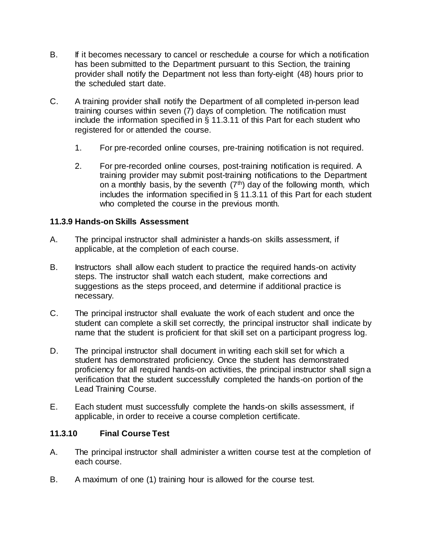- B. If it becomes necessary to cancel or reschedule a course for which a notification has been submitted to the Department pursuant to this Section, the training provider shall notify the Department not less than forty-eight (48) hours prior to the scheduled start date.
- C. A training provider shall notify the Department of all completed in-person lead training courses within seven (7) days of completion. The notification must include the information specified in § 11.3.11 of this Part for each student who registered for or attended the course.
	- 1. For pre-recorded online courses, pre-training notification is not required.
	- 2. For pre-recorded online courses, post-training notification is required. A training provider may submit post-training notifications to the Department on a monthly basis, by the seventh  $(7<sup>th</sup>)$  day of the following month, which includes the information specified in § 11.3.11 of this Part for each student who completed the course in the previous month.

#### **11.3.9 Hands-on Skills Assessment**

- A. The principal instructor shall administer a hands-on skills assessment, if applicable, at the completion of each course.
- B. Instructors shall allow each student to practice the required hands-on activity steps. The instructor shall watch each student, make corrections and suggestions as the steps proceed, and determine if additional practice is necessary.
- C. The principal instructor shall evaluate the work of each student and once the student can complete a skill set correctly, the principal instructor shall indicate by name that the student is proficient for that skill set on a participant progress log.
- D. The principal instructor shall document in writing each skill set for which a student has demonstrated proficiency. Once the student has demonstrated proficiency for all required hands-on activities, the principal instructor shall sign a verification that the student successfully completed the hands-on portion of the Lead Training Course.
- E. Each student must successfully complete the hands-on skills assessment, if applicable, in order to receive a course completion certificate.

#### **11.3.10 Final Course Test**

- A. The principal instructor shall administer a written course test at the completion of each course.
- B. A maximum of one (1) training hour is allowed for the course test.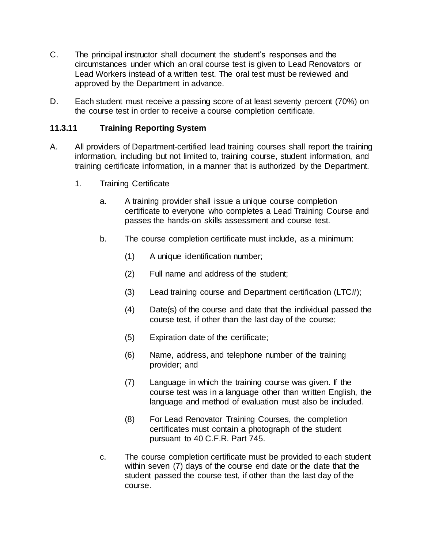- C. The principal instructor shall document the student's responses and the circumstances under which an oral course test is given to Lead Renovators or Lead Workers instead of a written test. The oral test must be reviewed and approved by the Department in advance.
- D. Each student must receive a passing score of at least seventy percent (70%) on the course test in order to receive a course completion certificate.

## **11.3.11 Training Reporting System**

- A. All providers of Department-certified lead training courses shall report the training information, including but not limited to, training course, student information, and training certificate information, in a manner that is authorized by the Department.
	- 1. Training Certificate
		- a. A training provider shall issue a unique course completion certificate to everyone who completes a Lead Training Course and passes the hands-on skills assessment and course test.
		- b. The course completion certificate must include, as a minimum:
			- (1) A unique identification number;
			- (2) Full name and address of the student;
			- (3) Lead training course and Department certification (LTC#);
			- (4) Date(s) of the course and date that the individual passed the course test, if other than the last day of the course;
			- (5) Expiration date of the certificate;
			- (6) Name, address, and telephone number of the training provider; and
			- (7) Language in which the training course was given. If the course test was in a language other than written English, the language and method of evaluation must also be included.
			- (8) For Lead Renovator Training Courses, the completion certificates must contain a photograph of the student pursuant to 40 C.F.R. Part 745.
		- c. The course completion certificate must be provided to each student within seven (7) days of the course end date or the date that the student passed the course test, if other than the last day of the course.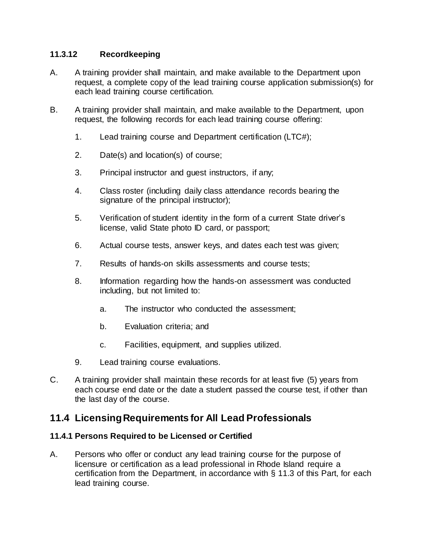### **11.3.12 Recordkeeping**

- A. A training provider shall maintain, and make available to the Department upon request, a complete copy of the lead training course application submission(s) for each lead training course certification.
- B. A training provider shall maintain, and make available to the Department, upon request, the following records for each lead training course offering:
	- 1. Lead training course and Department certification (LTC#);
	- 2. Date(s) and location(s) of course;
	- 3. Principal instructor and guest instructors, if any;
	- 4. Class roster (including daily class attendance records bearing the signature of the principal instructor);
	- 5. Verification of student identity in the form of a current State driver's license, valid State photo ID card, or passport;
	- 6. Actual course tests, answer keys, and dates each test was given;
	- 7. Results of hands-on skills assessments and course tests;
	- 8. Information regarding how the hands-on assessment was conducted including, but not limited to:
		- a. The instructor who conducted the assessment;
		- b. Evaluation criteria; and
		- c. Facilities, equipment, and supplies utilized.
	- 9. Lead training course evaluations.
- C. A training provider shall maintain these records for at least five (5) years from each course end date or the date a student passed the course test, if other than the last day of the course.

## **11.4 Licensing Requirements for All Lead Professionals**

#### **11.4.1 Persons Required to be Licensed or Certified**

A. Persons who offer or conduct any lead training course for the purpose of licensure or certification as a lead professional in Rhode Island require a certification from the Department, in accordance with § 11.3 of this Part, for each lead training course.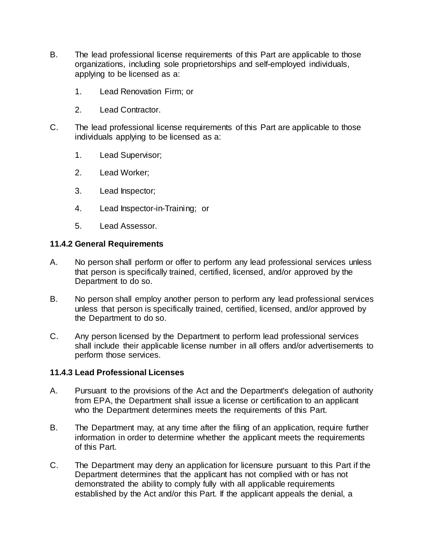- B. The lead professional license requirements of this Part are applicable to those organizations, including sole proprietorships and self-employed individuals, applying to be licensed as a:
	- 1. Lead Renovation Firm; or
	- 2. Lead Contractor.
- C. The lead professional license requirements of this Part are applicable to those individuals applying to be licensed as a:
	- 1. Lead Supervisor;
	- 2. Lead Worker;
	- 3. Lead Inspector;
	- 4. Lead Inspector-in-Training; or
	- 5. Lead Assessor.

#### **11.4.2 General Requirements**

- A. No person shall perform or offer to perform any lead professional services unless that person is specifically trained, certified, licensed, and/or approved by the Department to do so.
- B. No person shall employ another person to perform any lead professional services unless that person is specifically trained, certified, licensed, and/or approved by the Department to do so.
- C. Any person licensed by the Department to perform lead professional services shall include their applicable license number in all offers and/or advertisements to perform those services.

#### **11.4.3 Lead Professional Licenses**

- A. Pursuant to the provisions of the Act and the Department's delegation of authority from EPA, the Department shall issue a license or certification to an applicant who the Department determines meets the requirements of this Part.
- B. The Department may, at any time after the filing of an application, require further information in order to determine whether the applicant meets the requirements of this Part.
- C. The Department may deny an application for licensure pursuant to this Part if the Department determines that the applicant has not complied with or has not demonstrated the ability to comply fully with all applicable requirements established by the Act and/or this Part. If the applicant appeals the denial, a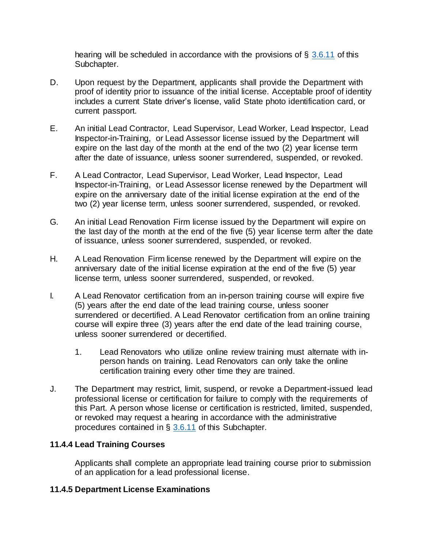hearing will be scheduled in accordance with the provisions of  $\S$  [3.6.11](https://rules.sos.ri.gov/regulations/part/216-50-15-3) of this Subchapter.

- D. Upon request by the Department, applicants shall provide the Department with proof of identity prior to issuance of the initial license. Acceptable proof of identity includes a current State driver's license, valid State photo identification card, or current passport.
- E. An initial Lead Contractor, Lead Supervisor, Lead Worker, Lead Inspector, Lead Inspector-in-Training, or Lead Assessor license issued by the Department will expire on the last day of the month at the end of the two (2) year license term after the date of issuance, unless sooner surrendered, suspended, or revoked.
- F. A Lead Contractor, Lead Supervisor, Lead Worker, Lead Inspector, Lead Inspector-in-Training, or Lead Assessor license renewed by the Department will expire on the anniversary date of the initial license expiration at the end of the two (2) year license term, unless sooner surrendered, suspended, or revoked.
- G. An initial Lead Renovation Firm license issued by the Department will expire on the last day of the month at the end of the five (5) year license term after the date of issuance, unless sooner surrendered, suspended, or revoked.
- H. A Lead Renovation Firm license renewed by the Department will expire on the anniversary date of the initial license expiration at the end of the five (5) year license term, unless sooner surrendered, suspended, or revoked.
- I. A Lead Renovator certification from an in-person training course will expire five (5) years after the end date of the lead training course, unless sooner surrendered or decertified. A Lead Renovator certification from an online training course will expire three (3) years after the end date of the lead training course, unless sooner surrendered or decertified.
	- 1. Lead Renovators who utilize online review training must alternate with inperson hands on training. Lead Renovators can only take the online certification training every other time they are trained.
- J. The Department may restrict, limit, suspend, or revoke a Department-issued lead professional license or certification for failure to comply with the requirements of this Part. A person whose license or certification is restricted, limited, suspended, or revoked may request a hearing in accordance with the administrative procedures contained in § [3.6.11](https://rules.sos.ri.gov/regulations/part/216-50-15-3) of this Subchapter.

#### **11.4.4 Lead Training Courses**

Applicants shall complete an appropriate lead training course prior to submission of an application for a lead professional license.

#### **11.4.5 Department License Examinations**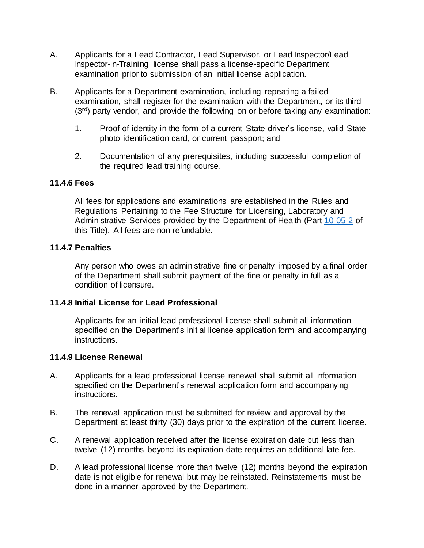- A. Applicants for a Lead Contractor, Lead Supervisor, or Lead Inspector/Lead Inspector-in-Training license shall pass a license-specific Department examination prior to submission of an initial license application.
- B. Applicants for a Department examination, including repeating a failed examination, shall register for the examination with the Department, or its third  $(3<sup>rd</sup>)$  party vendor, and provide the following on or before taking any examination:
	- 1. Proof of identity in the form of a current State driver's license, valid State photo identification card, or current passport; and
	- 2. Documentation of any prerequisites, including successful completion of the required lead training course.

#### **11.4.6 Fees**

All fees for applications and examinations are established in the Rules and Regulations Pertaining to the Fee Structure for Licensing, Laboratory and Administrative Services provided by the Department of Health (Part [10-05-2](https://rules.sos.ri.gov/regulations/part/216-10-05-2) of this Title). All fees are non-refundable.

#### **11.4.7 Penalties**

Any person who owes an administrative fine or penalty imposed by a final order of the Department shall submit payment of the fine or penalty in full as a condition of licensure.

#### **11.4.8 Initial License for Lead Professional**

Applicants for an initial lead professional license shall submit all information specified on the Department's initial license application form and accompanying instructions.

#### **11.4.9 License Renewal**

- A. Applicants for a lead professional license renewal shall submit all information specified on the Department's renewal application form and accompanying instructions.
- B. The renewal application must be submitted for review and approval by the Department at least thirty (30) days prior to the expiration of the current license.
- C. A renewal application received after the license expiration date but less than twelve (12) months beyond its expiration date requires an additional late fee.
- D. A lead professional license more than twelve (12) months beyond the expiration date is not eligible for renewal but may be reinstated. Reinstatements must be done in a manner approved by the Department.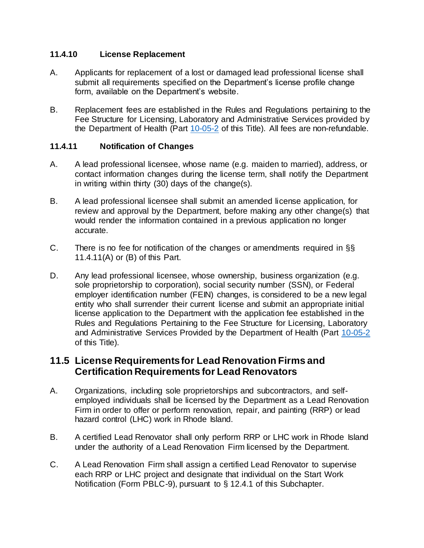### **11.4.10 License Replacement**

- A. Applicants for replacement of a lost or damaged lead professional license shall submit all requirements specified on the Department's license profile change form, available on the Department's website.
- B. Replacement fees are established in the Rules and Regulations pertaining to the Fee Structure for Licensing, Laboratory and Administrative Services provided by the Department of Health (Part [10-05-2](https://rules.sos.ri.gov/regulations/part/216-10-05-2) of this Title). All fees are non-refundable.

## **11.4.11 Notification of Changes**

- A. A lead professional licensee, whose name (e.g. maiden to married), address, or contact information changes during the license term, shall notify the Department in writing within thirty (30) days of the change(s).
- B. A lead professional licensee shall submit an amended license application, for review and approval by the Department, before making any other change(s) that would render the information contained in a previous application no longer accurate.
- C. There is no fee for notification of the changes or amendments required in §§ 11.4.11(A) or (B) of this Part.
- D. Any lead professional licensee, whose ownership, business organization (e.g. sole proprietorship to corporation), social security number (SSN), or Federal employer identification number (FEIN) changes, is considered to be a new legal entity who shall surrender their current license and submit an appropriate initial license application to the Department with the application fee established in the Rules and Regulations Pertaining to the Fee Structure for Licensing, Laboratory and Administrative Services Provided by the Department of Health (Part [10-05-2](https://rules.sos.ri.gov/regulations/part/216-10-05-2) of this Title).

## **11.5 License Requirements for Lead Renovation Firms and Certification Requirements for Lead Renovators**

- A. Organizations, including sole proprietorships and subcontractors, and selfemployed individuals shall be licensed by the Department as a Lead Renovation Firm in order to offer or perform renovation, repair, and painting (RRP) or lead hazard control (LHC) work in Rhode Island.
- B. A certified Lead Renovator shall only perform RRP or LHC work in Rhode Island under the authority of a Lead Renovation Firm licensed by the Department.
- C. A Lead Renovation Firm shall assign a certified Lead Renovator to supervise each RRP or LHC project and designate that individual on the Start Work Notification (Form PBLC-9), pursuant to § 12.4.1 of this Subchapter.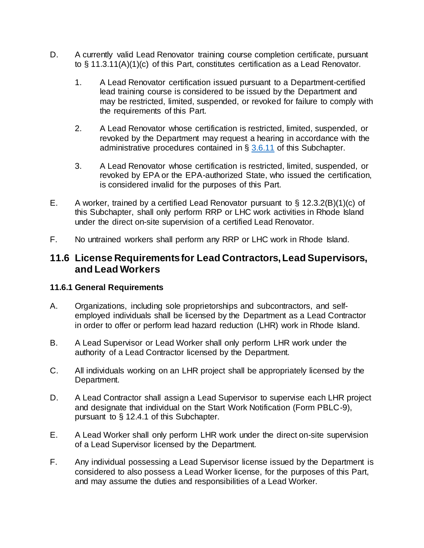- D. A currently valid Lead Renovator training course completion certificate, pursuant to § 11.3.11(A)(1)(c) of this Part, constitutes certification as a Lead Renovator.
	- 1. A Lead Renovator certification issued pursuant to a Department-certified lead training course is considered to be issued by the Department and may be restricted, limited, suspended, or revoked for failure to comply with the requirements of this Part.
	- 2. A Lead Renovator whose certification is restricted, limited, suspended, or revoked by the Department may request a hearing in accordance with the administrative procedures contained in § [3.6.11](https://rules.sos.ri.gov/regulations/part/216-50-15-3) of this Subchapter.
	- 3. A Lead Renovator whose certification is restricted, limited, suspended, or revoked by EPA or the EPA-authorized State, who issued the certification, is considered invalid for the purposes of this Part.
- E. A worker, trained by a certified Lead Renovator pursuant to  $\S$  12.3.2(B)(1)(c) of this Subchapter, shall only perform RRP or LHC work activities in Rhode Island under the direct on-site supervision of a certified Lead Renovator.
- F. No untrained workers shall perform any RRP or LHC work in Rhode Island.

## **11.6 License Requirements for Lead Contractors, Lead Supervisors, and Lead Workers**

#### **11.6.1 General Requirements**

- A. Organizations, including sole proprietorships and subcontractors, and selfemployed individuals shall be licensed by the Department as a Lead Contractor in order to offer or perform lead hazard reduction (LHR) work in Rhode Island.
- B. A Lead Supervisor or Lead Worker shall only perform LHR work under the authority of a Lead Contractor licensed by the Department.
- C. All individuals working on an LHR project shall be appropriately licensed by the Department.
- D. A Lead Contractor shall assign a Lead Supervisor to supervise each LHR project and designate that individual on the Start Work Notification (Form PBLC-9), pursuant to § 12.4.1 of this Subchapter.
- E. A Lead Worker shall only perform LHR work under the direct on-site supervision of a Lead Supervisor licensed by the Department.
- F. Any individual possessing a Lead Supervisor license issued by the Department is considered to also possess a Lead Worker license, for the purposes of this Part, and may assume the duties and responsibilities of a Lead Worker.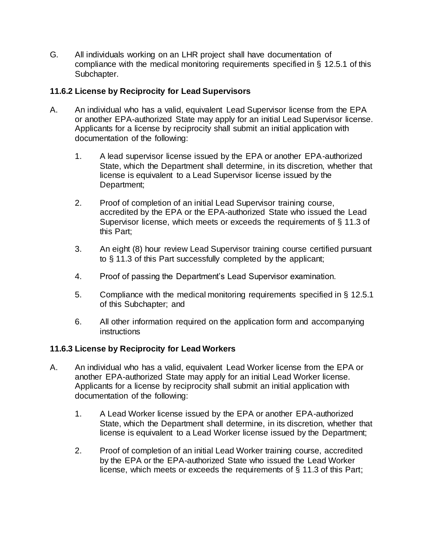G. All individuals working on an LHR project shall have documentation of compliance with the medical monitoring requirements specified in § 12.5.1 of this Subchapter.

## **11.6.2 License by Reciprocity for Lead Supervisors**

- A. An individual who has a valid, equivalent Lead Supervisor license from the EPA or another EPA-authorized State may apply for an initial Lead Supervisor license. Applicants for a license by reciprocity shall submit an initial application with documentation of the following:
	- 1. A lead supervisor license issued by the EPA or another EPA-authorized State, which the Department shall determine, in its discretion, whether that license is equivalent to a Lead Supervisor license issued by the Department;
	- 2. Proof of completion of an initial Lead Supervisor training course, accredited by the EPA or the EPA-authorized State who issued the Lead Supervisor license, which meets or exceeds the requirements of § 11.3 of this Part;
	- 3. An eight (8) hour review Lead Supervisor training course certified pursuant to § 11.3 of this Part successfully completed by the applicant;
	- 4. Proof of passing the Department's Lead Supervisor examination.
	- 5. Compliance with the medical monitoring requirements specified in § 12.5.1 of this Subchapter; and
	- 6. All other information required on the application form and accompanying instructions

## **11.6.3 License by Reciprocity for Lead Workers**

- A. An individual who has a valid, equivalent Lead Worker license from the EPA or another EPA-authorized State may apply for an initial Lead Worker license. Applicants for a license by reciprocity shall submit an initial application with documentation of the following:
	- 1. A Lead Worker license issued by the EPA or another EPA-authorized State, which the Department shall determine, in its discretion, whether that license is equivalent to a Lead Worker license issued by the Department;
	- 2. Proof of completion of an initial Lead Worker training course, accredited by the EPA or the EPA-authorized State who issued the Lead Worker license, which meets or exceeds the requirements of § 11.3 of this Part;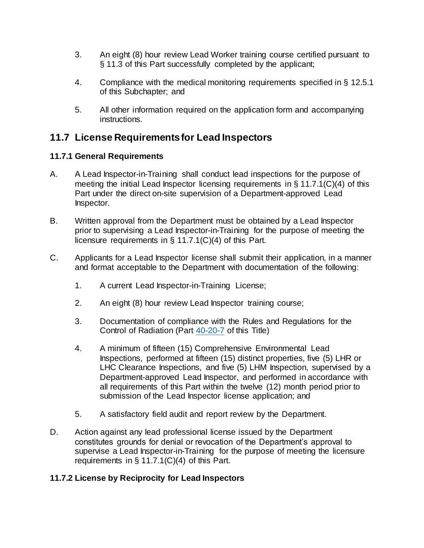- 3. An eight (8) hour review Lead Worker training course certified pursuant to § 11.3 of this Part successfully completed by the applicant;
- 4. Compliance with the medical monitoring requirements specified in § 12.5.1 of this Subchapter; and
- 5. All other information required on the application form and accompanying instructions.

## **11.7 License Requirements for Lead Inspectors**

## **11.7.1 General Requirements**

- A. A Lead Inspector-in-Training shall conduct lead inspections for the purpose of meeting the initial Lead Inspector licensing requirements in  $\S$  11.7.1(C)(4) of this Part under the direct on-site supervision of a Department-approved Lead Inspector.
- B. Written approval from the Department must be obtained by a Lead Inspector prior to supervising a Lead Inspector-in-Training for the purpose of meeting the licensure requirements in § 11.7.1(C)(4) of this Part.
- C. Applicants for a Lead Inspector license shall submit their application, in a manner and format acceptable to the Department with documentation of the following:
	- 1. A current Lead Inspector-in-Training License;
	- 2. An eight (8) hour review Lead Inspector training course;
	- 3. Documentation of compliance with the Rules and Regulations for the Control of Radiation (Part [40-20-7](https://rules.sos.ri.gov/regulations/part/216-40-20-7) of this Title)
	- 4. A minimum of fifteen (15) Comprehensive Environmental Lead Inspections, performed at fifteen (15) distinct properties, five (5) LHR or LHC Clearance Inspections, and five (5) LHM Inspection, supervised by a Department-approved Lead Inspector, and performed in accordance with all requirements of this Part within the twelve (12) month period prior to submission of the Lead Inspector license application; and
	- 5. A satisfactory field audit and report review by the Department.
- D. Action against any lead professional license issued by the Department constitutes grounds for denial or revocation of the Department's approval to supervise a Lead Inspector-in-Training for the purpose of meeting the licensure requirements in  $\S$  11.7.1(C)(4) of this Part.

## **11.7.2 License by Reciprocity for Lead Inspectors**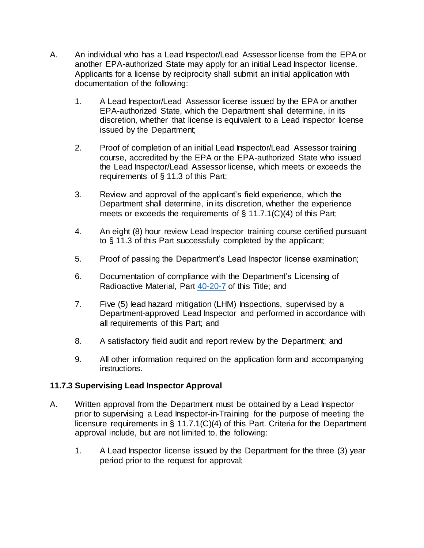- A. An individual who has a Lead Inspector/Lead Assessor license from the EPA or another EPA-authorized State may apply for an initial Lead Inspector license. Applicants for a license by reciprocity shall submit an initial application with documentation of the following:
	- 1. A Lead Inspector/Lead Assessor license issued by the EPA or another EPA-authorized State, which the Department shall determine, in its discretion, whether that license is equivalent to a Lead Inspector license issued by the Department;
	- 2. Proof of completion of an initial Lead Inspector/Lead Assessor training course, accredited by the EPA or the EPA-authorized State who issued the Lead Inspector/Lead Assessor license, which meets or exceeds the requirements of § 11.3 of this Part;
	- 3. Review and approval of the applicant's field experience, which the Department shall determine, in its discretion, whether the experience meets or exceeds the requirements of § 11.7.1(C)(4) of this Part;
	- 4. An eight (8) hour review Lead Inspector training course certified pursuant to § 11.3 of this Part successfully completed by the applicant;
	- 5. Proof of passing the Department's Lead Inspector license examination;
	- 6. Documentation of compliance with the Department's Licensing of Radioactive Material, Part [40-20-7](https://rules.sos.ri.gov/regulations/part/216-40-20-7) of this Title; and
	- 7. Five (5) lead hazard mitigation (LHM) Inspections, supervised by a Department-approved Lead Inspector and performed in accordance with all requirements of this Part; and
	- 8. A satisfactory field audit and report review by the Department; and
	- 9. All other information required on the application form and accompanying instructions.

## **11.7.3 Supervising Lead Inspector Approval**

- A. Written approval from the Department must be obtained by a Lead Inspector prior to supervising a Lead Inspector-in-Training for the purpose of meeting the licensure requirements in § 11.7.1(C)(4) of this Part. Criteria for the Department approval include, but are not limited to, the following:
	- 1. A Lead Inspector license issued by the Department for the three (3) year period prior to the request for approval;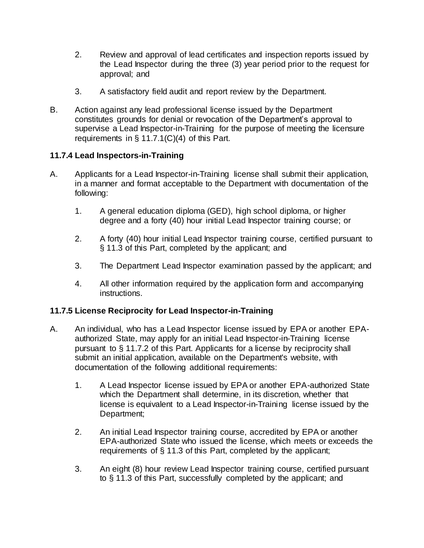- 2. Review and approval of lead certificates and inspection reports issued by the Lead Inspector during the three (3) year period prior to the request for approval; and
- 3. A satisfactory field audit and report review by the Department.
- B. Action against any lead professional license issued by the Department constitutes grounds for denial or revocation of the Department's approval to supervise a Lead Inspector-in-Training for the purpose of meeting the licensure requirements in § 11.7.1(C)(4) of this Part.

## **11.7.4 Lead Inspectors-in-Training**

- A. Applicants for a Lead Inspector-in-Training license shall submit their application, in a manner and format acceptable to the Department with documentation of the following:
	- 1. A general education diploma (GED), high school diploma, or higher degree and a forty (40) hour initial Lead Inspector training course; or
	- 2. A forty (40) hour initial Lead Inspector training course, certified pursuant to § 11.3 of this Part, completed by the applicant; and
	- 3. The Department Lead Inspector examination passed by the applicant; and
	- 4. All other information required by the application form and accompanying instructions.

## **11.7.5 License Reciprocity for Lead Inspector-in-Training**

- A. An individual, who has a Lead Inspector license issued by EPA or another EPAauthorized State, may apply for an initial Lead Inspector-in-Training license pursuant to § 11.7.2 of this Part. Applicants for a license by reciprocity shall submit an initial application, available on the Department's website, with documentation of the following additional requirements:
	- 1. A Lead Inspector license issued by EPA or another EPA-authorized State which the Department shall determine, in its discretion, whether that license is equivalent to a Lead Inspector-in-Training license issued by the Department;
	- 2. An initial Lead Inspector training course, accredited by EPA or another EPA-authorized State who issued the license, which meets or exceeds the requirements of § 11.3 of this Part, completed by the applicant;
	- 3. An eight (8) hour review Lead Inspector training course, certified pursuant to § 11.3 of this Part, successfully completed by the applicant; and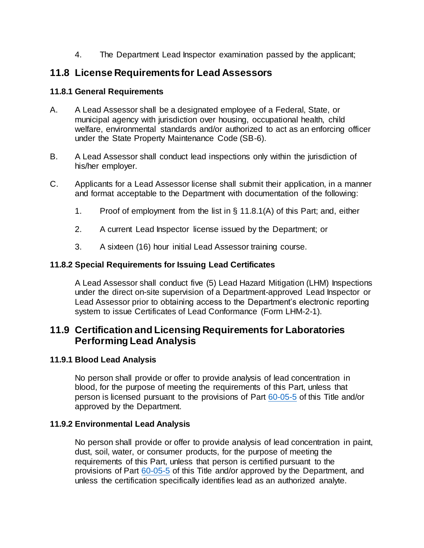4. The Department Lead Inspector examination passed by the applicant;

## **11.8 License Requirements for Lead Assessors**

### **11.8.1 General Requirements**

- A. A Lead Assessor shall be a designated employee of a Federal, State, or municipal agency with jurisdiction over housing, occupational health, child welfare, environmental standards and/or authorized to act as an enforcing officer under the State Property Maintenance Code (SB-6).
- B. A Lead Assessor shall conduct lead inspections only within the jurisdiction of his/her employer.
- C. Applicants for a Lead Assessor license shall submit their application, in a manner and format acceptable to the Department with documentation of the following:
	- 1. Proof of employment from the list in § 11.8.1(A) of this Part; and, either
	- 2. A current Lead Inspector license issued by the Department; or
	- 3. A sixteen (16) hour initial Lead Assessor training course.

#### **11.8.2 Special Requirements for Issuing Lead Certificates**

A Lead Assessor shall conduct five (5) Lead Hazard Mitigation (LHM) Inspections under the direct on-site supervision of a Department-approved Lead Inspector or Lead Assessor prior to obtaining access to the Department's electronic reporting system to issue Certificates of Lead Conformance (Form LHM-2-1).

## **11.9 Certification and Licensing Requirements for Laboratories Performing Lead Analysis**

#### **11.9.1 Blood Lead Analysis**

No person shall provide or offer to provide analysis of lead concentration in blood, for the purpose of meeting the requirements of this Part, unless that person is licensed pursuant to the provisions of Part [60-05-5](https://rules.sos.ri.gov/regulations/part/216-60-05-5) of this Title and/or approved by the Department.

#### **11.9.2 Environmental Lead Analysis**

No person shall provide or offer to provide analysis of lead concentration in paint, dust, soil, water, or consumer products, for the purpose of meeting the requirements of this Part, unless that person is certified pursuant to the provisions of Part [60-05-5](https://rules.sos.ri.gov/regulations/part/216-60-05-5) of this Title and/or approved by the Department, and unless the certification specifically identifies lead as an authorized analyte.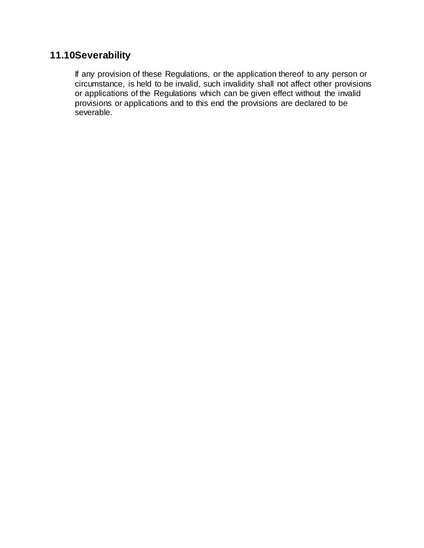# **11.10Severability**

If any provision of these Regulations, or the application thereof to any person or circumstance, is held to be invalid, such invalidity shall not affect other provisions or applications of the Regulations which can be given effect without the invalid provisions or applications and to this end the provisions are declared to be severable.